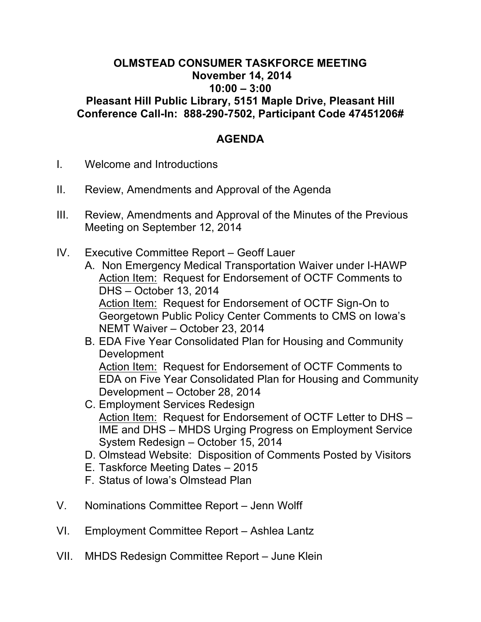## **OLMSTEAD CONSUMER TASKFORCE MEETING November 14, 2014 10:00 – 3:00 Pleasant Hill Public Library, 5151 Maple Drive, Pleasant Hill Conference Call-In: 888-290-7502, Participant Code 47451206#**

## **AGENDA**

- I. Welcome and Introductions
- II. Review, Amendments and Approval of the Agenda
- III. Review, Amendments and Approval of the Minutes of the Previous Meeting on September 12, 2014
- IV. Executive Committee Report Geoff Lauer
	- A. Non Emergency Medical Transportation Waiver under I-HAWP Action Item: Request for Endorsement of OCTF Comments to DHS – October 13, 2014 Action Item: Request for Endorsement of OCTF Sign-On to Georgetown Public Policy Center Comments to CMS on Iowa's NEMT Waiver – October 23, 2014
	- B. EDA Five Year Consolidated Plan for Housing and Community Development Action Item: Request for Endorsement of OCTF Comments to EDA on Five Year Consolidated Plan for Housing and Community Development – October 28, 2014
	- C. Employment Services Redesign Action Item: Request for Endorsement of OCTF Letter to DHS – IME and DHS – MHDS Urging Progress on Employment Service System Redesign – October 15, 2014
	- D. Olmstead Website: Disposition of Comments Posted by Visitors
	- E. Taskforce Meeting Dates 2015
	- F. Status of Iowa's Olmstead Plan
- V. Nominations Committee Report Jenn Wolff
- VI. Employment Committee Report Ashlea Lantz
- VII. MHDS Redesign Committee Report June Klein